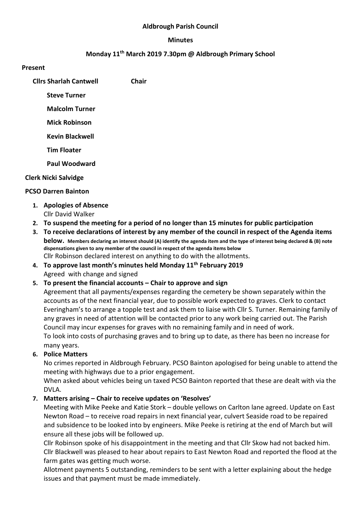#### Aldbrough Parish Council

#### Minutes

## Monday 11th March 2019 7.30pm @ Aldbrough Primary School

#### Present

Cllrs Sharlah Cantwell Chair

Steve Turner

Malcolm Turner

Mick Robinson

Kevin Blackwell

Tim Floater

Paul Woodward

#### Clerk Nicki Salvidge

#### PCSO Darren Bainton

- 1. Apologies of Absence Cllr David Walker
- 2. To suspend the meeting for a period of no longer than 15 minutes for public participation
- 3. To receive declarations of interest by any member of the council in respect of the Agenda items below. Members declaring an interest should (A) identify the agenda item and the type of interest being declared & (B) note dispensations given to any member of the council in respect of the agenda items below Cllr Robinson declared interest on anything to do with the allotments.
- 4. To approve last month's minutes held Monday  $11<sup>th</sup>$  February 2019 Agreed with change and signed

### 5. To present the financial accounts – Chair to approve and sign

Agreement that all payments/expenses regarding the cemetery be shown separately within the accounts as of the next financial year, due to possible work expected to graves. Clerk to contact Everingham's to arrange a topple test and ask them to liaise with Cllr S. Turner. Remaining family of any graves in need of attention will be contacted prior to any work being carried out. The Parish Council may incur expenses for graves with no remaining family and in need of work. To look into costs of purchasing graves and to bring up to date, as there has been no increase for many years.

### 6. Police Matters

No crimes reported in Aldbrough February. PCSO Bainton apologised for being unable to attend the meeting with highways due to a prior engagement.

When asked about vehicles being un taxed PCSO Bainton reported that these are dealt with via the DVLA.

### 7. Matters arising – Chair to receive updates on 'Resolves'

Meeting with Mike Peeke and Katie Stork – double yellows on Carlton lane agreed. Update on East Newton Road – to receive road repairs in next financial year, culvert Seaside road to be repaired and subsidence to be looked into by engineers. Mike Peeke is retiring at the end of March but will ensure all these jobs will be followed up.

Cllr Robinson spoke of his disappointment in the meeting and that Cllr Skow had not backed him. Cllr Blackwell was pleased to hear about repairs to East Newton Road and reported the flood at the farm gates was getting much worse.

Allotment payments 5 outstanding, reminders to be sent with a letter explaining about the hedge issues and that payment must be made immediately.